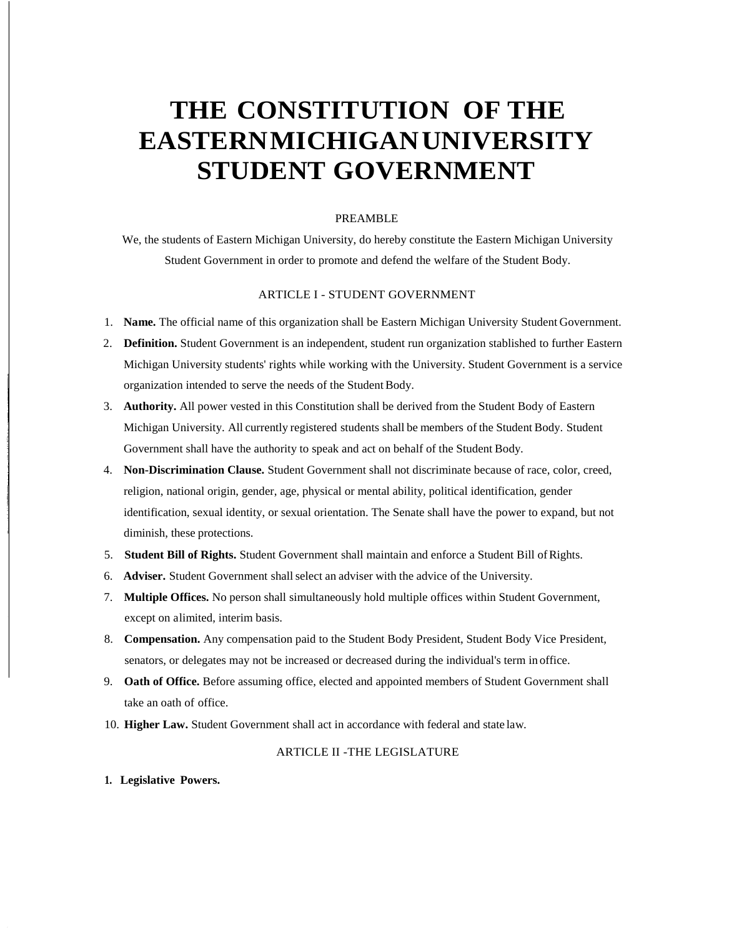# **THE CONSTITUTION OF THE EASTERNMICHIGANUNIVERSITY STUDENT GOVERNMENT**

#### PREAMBLE

We, the students of Eastern Michigan University, do hereby constitute the Eastern Michigan University Student Government in order to promote and defend the welfare of the Student Body.

#### ARTICLE I - STUDENT GOVERNMENT

- 1. **Name.** The official name of this organization shall be Eastern Michigan University Student Government.
- 2. **Definition.** Student Government is an independent, student run organization stablished to further Eastern Michigan University students' rights while working with the University. Student Government is a service organization intended to serve the needs of the Student Body.
- 3. **Authority.** All power vested in this Constitution shall be derived from the Student Body of Eastern Michigan University. All currently registered students shall be members of the Student Body. Student Government shall have the authority to speak and act on behalf of the Student Body.
- 4. **Non-Discrimination Clause.** Student Government shall not discriminate because of race, color, creed, religion, national origin, gender, age, physical or mental ability, political identification, gender identification, sexual identity, or sexual orientation. The Senate shall have the power to expand, but not diminish, these protections.
- 5. **Student Bill of Rights.** Student Government shall maintain and enforce a Student Bill ofRights.
- 6. **Adviser.** Student Government shallselect an adviser with the advice of the University.
- 7. **Multiple Offices.** No person shall simultaneously hold multiple offices within Student Government, except on alimited, interim basis.
- 8. **Compensation.** Any compensation paid to the Student Body President, Student Body Vice President, senators, or delegates may not be increased or decreased during the individual's term in office.
- 9. **Oath of Office.** Before assuming office, elected and appointed members of Student Government shall take an oath of office.
- 10. **Higher Law.** Student Government shall act in accordance with federal and state law.

### ARTICLE II -THE LEGISLATURE

**1. Legislative Powers.**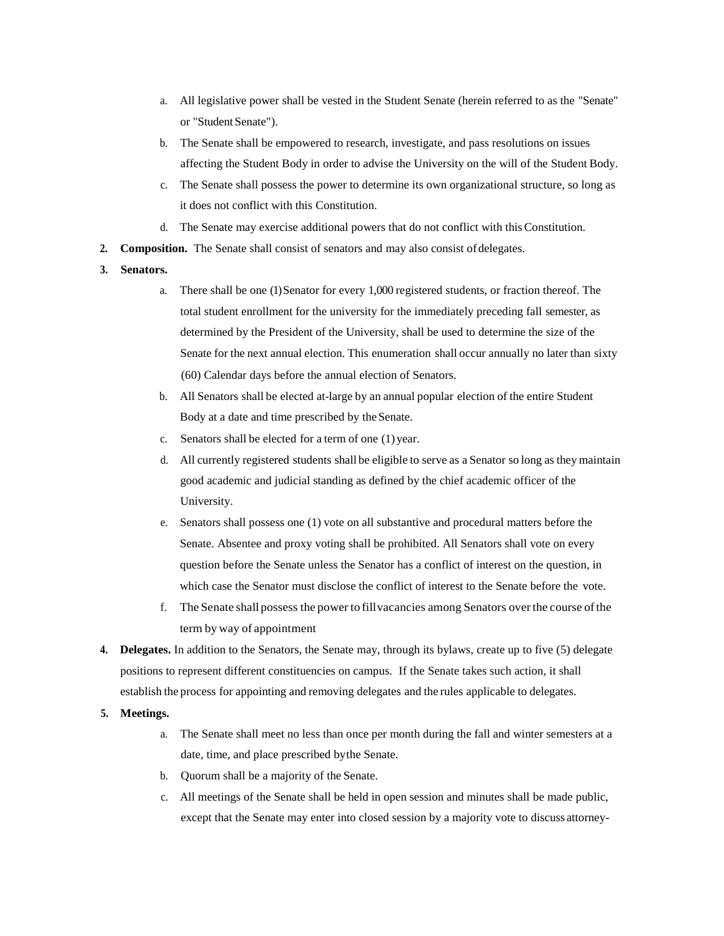- a. All legislative power shall be vested in the Student Senate (herein referred to as the "Senate" or "Student Senate").
- b. The Senate shall be empowered to research, investigate, and pass resolutions on issues affecting the Student Body in order to advise the University on the will of the Student Body.
- c. The Senate shall possess the power to determine its own organizational structure, so long as it does not conflict with this Constitution.
- d. The Senate may exercise additional powers that do not conflict with thisConstitution.
- **2. Composition.** The Senate shall consist of senators and may also consist of delegates.
- **3. Senators.**
	- a. There shall be one (1) Senator for every 1,000 registered students, or fraction thereof. The total student enrollment for the university for the immediately preceding fall semester, as determined by the President of the University, shall be used to determine the size of the Senate for the next annual election. This enumeration shall occur annually no later than sixty (60) Calendar days before the annual election of Senators.
	- b. All Senators shall be elected at-large by an annual popular election of the entire Student Body at a date and time prescribed by theSenate.
	- c. Senators shall be elected for a term of one (1) year.
	- d. All currently registered students shall be eligible to serve as a Senator so long as they maintain good academic and judicial standing as defined by the chief academic officer of the University.
	- e. Senators shall possess one (1) vote on all substantive and procedural matters before the Senate. Absentee and proxy voting shall be prohibited. All Senators shall vote on every question before the Senate unless the Senator has a conflict of interest on the question, in which case the Senator must disclose the conflict of interest to the Senate before the vote.
	- f. The Senate shallpossess the power to fillvacancies among Senators overthe course ofthe term by way of appointment
- **4. Delegates.** In addition to the Senators, the Senate may, through its bylaws, create up to five (5) delegate positions to represent different constituencies on campus. If the Senate takes such action, it shall establish the process for appointing and removing delegates and the rules applicable to delegates.
- **5. Meetings.**
	- a. The Senate shall meet no less than once per month during the fall and winter semesters at a date, time, and place prescribed bythe Senate.
	- b. Quorum shall be a majority of the Senate.
	- c. All meetings of the Senate shall be held in open session and minutes shall be made public, except that the Senate may enter into closed session by a majority vote to discuss attorney-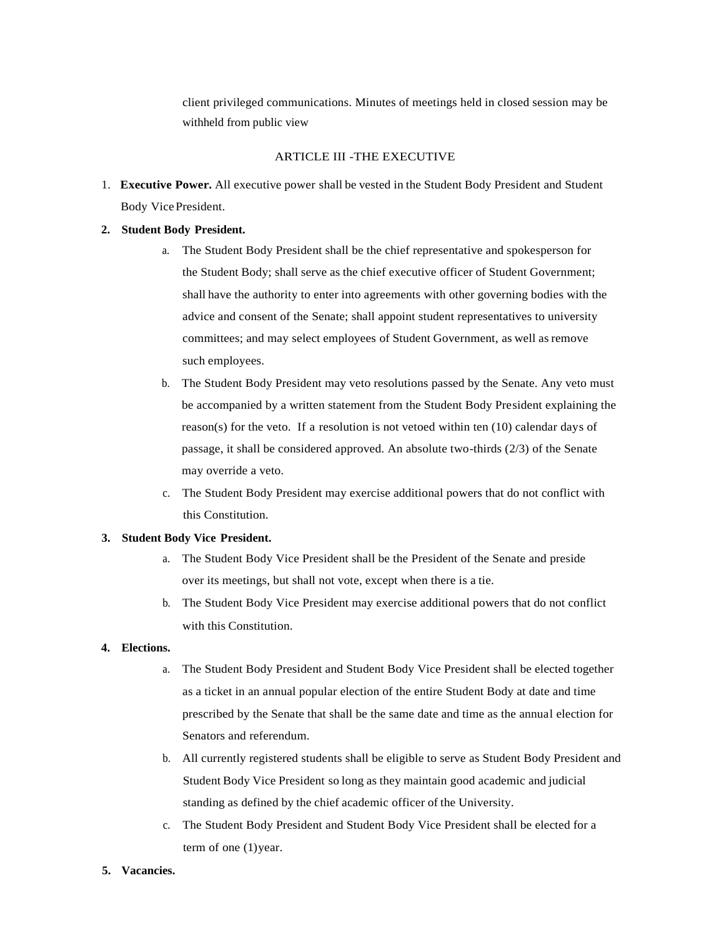client privileged communications. Minutes of meetings held in closed session may be withheld from public view

#### ARTICLE III -THE EXECUTIVE

1. **Executive Power.** All executive power shall be vested in the Student Body President and Student Body VicePresident.

#### **2. Student Body President.**

- a. The Student Body President shall be the chief representative and spokesperson for the Student Body; shall serve as the chief executive officer of Student Government; shall have the authority to enter into agreements with other governing bodies with the advice and consent of the Senate; shall appoint student representatives to university committees; and may select employees of Student Government, as well as remove such employees.
- b. The Student Body President may veto resolutions passed by the Senate. Any veto must be accompanied by a written statement from the Student Body President explaining the reason(s) for the veto. If a resolution is not vetoed within ten  $(10)$  calendar days of passage, it shall be considered approved. An absolute two-thirds (2/3) of the Senate may override a veto.
- c. The Student Body President may exercise additional powers that do not conflict with this Constitution.

#### **3. Student Body Vice President.**

- The Student Body Vice President shall be the President of the Senate and preside over its meetings, but shall not vote, except when there is a tie.
- b. The Student Body Vice President may exercise additional powers that do not conflict with this Constitution.

## **4. Elections.**

- a. The Student Body President and Student Body Vice President shall be elected together as a ticket in an annual popular election of the entire Student Body at date and time prescribed by the Senate that shall be the same date and time as the annual election for Senators and referendum.
- b. All currently registered students shall be eligible to serve as Student Body President and Student Body Vice President so long as they maintain good academic and judicial standing as defined by the chief academic officer of the University.
- c. The Student Body President and Student Body Vice President shall be elected for a term of one (1)year.
- **5. Vacancies.**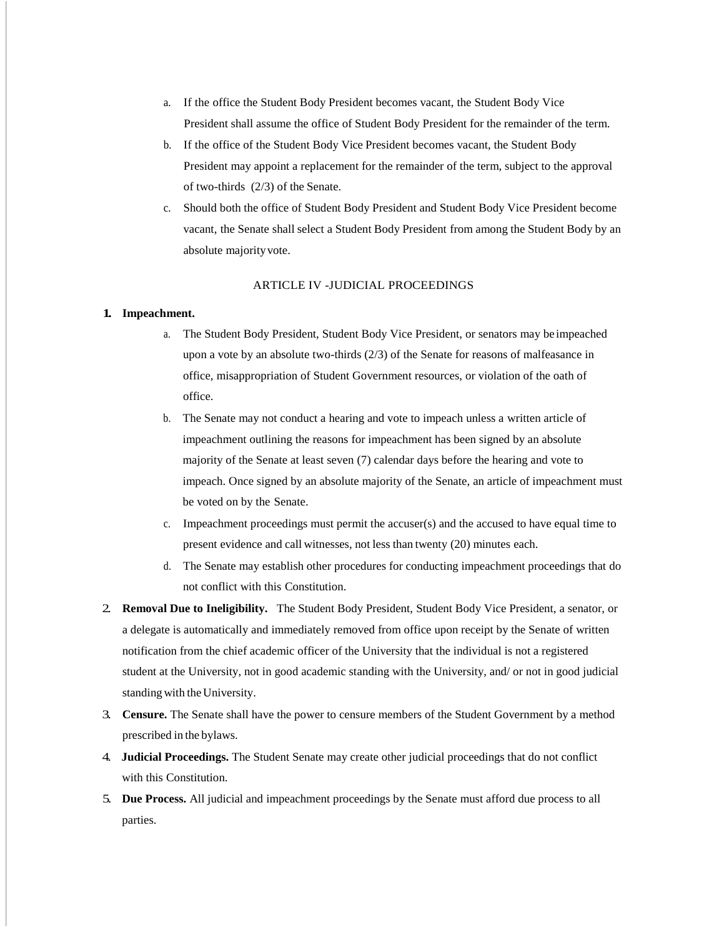- a. If the office the Student Body President becomes vacant, the Student Body Vice President shall assume the office of Student Body President for the remainder of the term.
- b. If the office of the Student Body Vice President becomes vacant, the Student Body President may appoint a replacement for the remainder of the term, subject to the approval of two-thirds (2/3) of the Senate.
- c. Should both the office of Student Body President and Student Body Vice President become vacant, the Senate shall select a Student Body President from among the Student Body by an absolute majorityvote.

#### ARTICLE IV -JUDICIAL PROCEEDINGS

#### **1. Impeachment.**

- a. The Student Body President, Student Body Vice President, or senators may be impeached upon a vote by an absolute two-thirds (2/3) of the Senate for reasons of malfeasance in office, misappropriation of Student Government resources, or violation of the oath of office.
- b. The Senate may not conduct a hearing and vote to impeach unless a written article of impeachment outlining the reasons for impeachment has been signed by an absolute majority of the Senate at least seven (7) calendar days before the hearing and vote to impeach. Once signed by an absolute majority of the Senate, an article of impeachment must be voted on by the Senate.
- c. Impeachment proceedings must permit the accuser(s) and the accused to have equal time to present evidence and call witnesses, not less than twenty (20) minutes each.
- d. The Senate may establish other procedures for conducting impeachment proceedings that do not conflict with this Constitution.
- 2. **Removal Due to Ineligibility.** The Student Body President, Student Body Vice President, a senator, or a delegate is automatically and immediately removed from office upon receipt by the Senate of written notification from the chief academic officer of the University that the individual is not a registered student at the University, not in good academic standing with the University, and/ or not in good judicial standingwith the University.
- 3. **Censure.** The Senate shall have the power to censure members of the Student Government by a method prescribed in the bylaws.
- 4. **Judicial Proceedings.** The Student Senate may create other judicial proceedings that do not conflict with this Constitution.
- 5. **Due Process.** All judicial and impeachment proceedings by the Senate must afford due process to all parties.